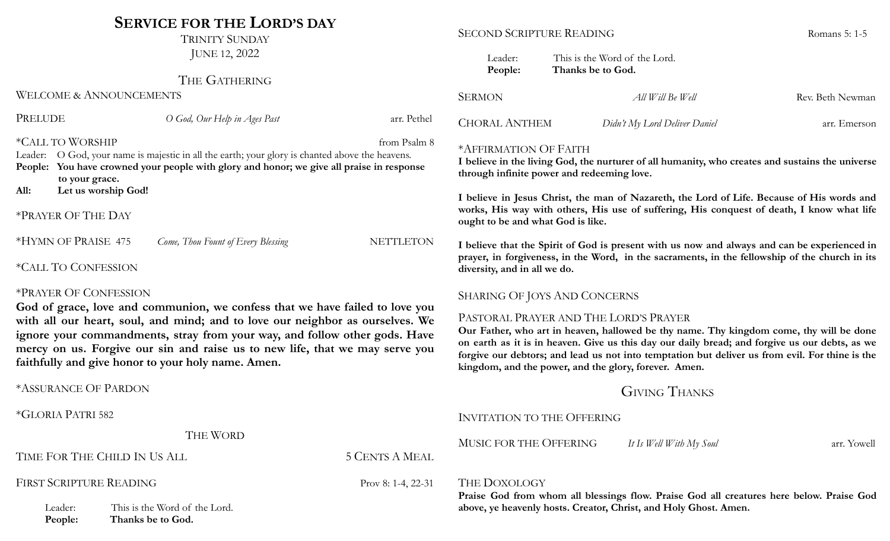## **SERVICE FOR THE LORD'S DAY**

TRINITY SUNDAY JUNE 12, 2022

#### THE GATHERING

WELCOME & ANNOUNCEMENTS

| PRELUDE         |                                                           | O God, Our Help in Ages Past                                                                                                                                                         | arr. Pethel      |
|-----------------|-----------------------------------------------------------|--------------------------------------------------------------------------------------------------------------------------------------------------------------------------------------|------------------|
| Leader:<br>All: | *CALL TO WORSHIP<br>to your grace.<br>Let us worship God! | O God, your name is majestic in all the earth; your glory is chanted above the heavens.<br>People: You have crowned your people with glory and honor; we give all praise in response | from Psalm 8     |
|                 | *PRAYER OF THE DAY                                        |                                                                                                                                                                                      |                  |
|                 | *HYMN OF PRAISE 475                                       | Come, Thou Fount of Every Blessing                                                                                                                                                   | <b>NETTLETON</b> |
|                 | <i><b>*CALL TO CONFESSION</b></i>                         |                                                                                                                                                                                      |                  |
|                 | <b>*DRAVER OF CONFESSION</b>                              |                                                                                                                                                                                      |                  |

#### \*PRAYER OF CONFESSION

**God of grace, love and communion, we confess that we have failed to love you with all our heart, soul, and mind; and to love our neighbor as ourselves. We ignore your commandments, stray from your way, and follow other gods. Have mercy on us. Forgive our sin and raise us to new life, that we may serve you faithfully and give honor to your holy name. Amen.**

\*ASSURANCE OF PARDON

\*GLORIA PATRI 582

#### SECOND SCRIPTURE READING ROMAN ROMANS 5: 1-5

| Leader: | This is the Word of the Lord. |
|---------|-------------------------------|
| People: | Thanks be to God.             |

| SERMON        | All Will Be Well              | Rev. Beth Newman |
|---------------|-------------------------------|------------------|
| CHORAL ANTHEM | Didn't My Lord Deliver Daniel | arr. Emerson     |

#### \*AFFIRMATION OF FAITH

**I believe in the living God, the nurturer of all humanity, who creates and sustains the universe through infinite power and redeeming love.**

**I believe in Jesus Christ, the man of Nazareth, the Lord of Life. Because of His words and works, His way with others, His use of suffering, His conquest of death, I know what life ought to be and what God is like.**

I believe that the Spirit of God is present with us now and always and can be experienced in **prayer, in forgiveness, in the Word, in the sacraments, in the fellowship of the church in its diversity, and in all we do.**

#### SHARING OF JOYS AND CONCERNS

#### PASTORAL PRAYER AND THE LORD'S PRAYER

**Our Father, who art in heaven, hallowed be thy name. Thy kingdom come, thy will be done** on earth as it is in heaven. Give us this day our daily bread; and forgive us our debts, as we **forgive our debtors; and lead us not into temptation but deliver us from evil. For thine is the kingdom, and the power, and the glory, forever. Amen.**

### GIVING THANKS

THE WORD TIME FOR THE CHILD IN US ALL 5 CENTS A MEAL FIRST SCRIPTURE READING Prov 8: 1-4, 22-31 Leader: This is the Word of the Lord. **People: Thanks be to God.** INVITATION TO THE OFFERING MUSIC FOR THE OFFERING *It Is Well With My Soul* arr. Yowell THE DOXOLOGY **Praise God from whom all blessings flow. Praise God all creatures here below. Praise God above, ye heavenly hosts. Creator, Christ, and Holy Ghost. Amen.**